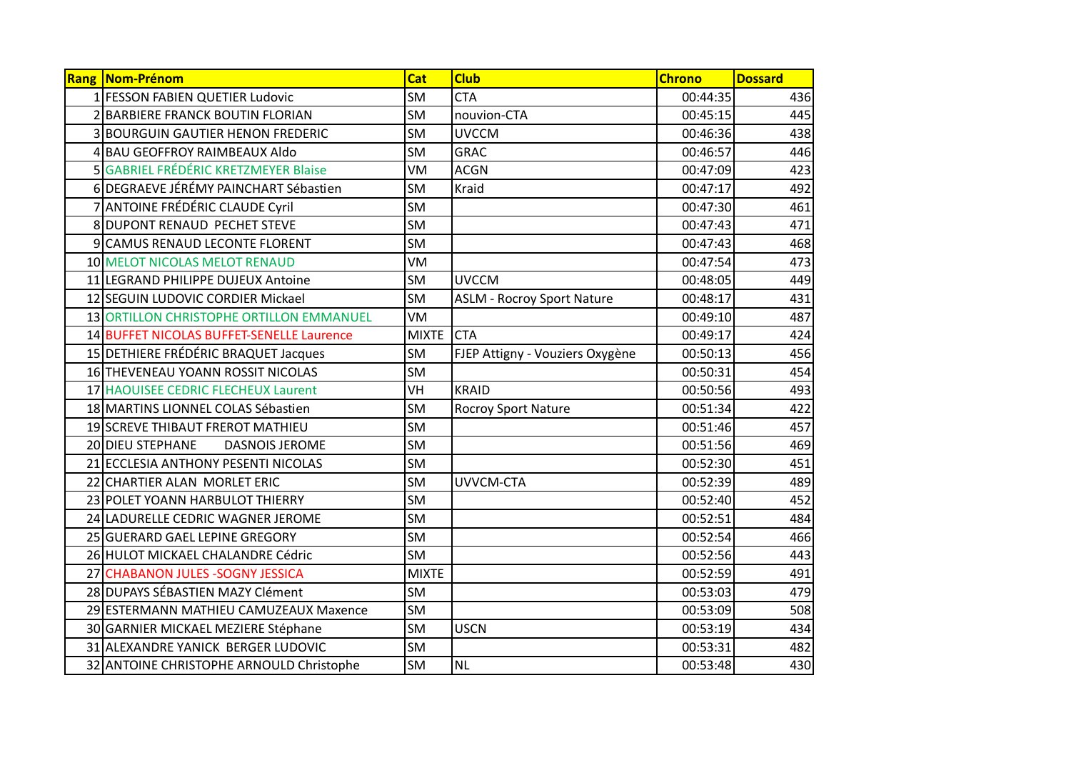| Rang Nom-Prénom                           | Cat          | <b>Club</b>                       | <b>Chrono</b> | <b>Dossard</b> |
|-------------------------------------------|--------------|-----------------------------------|---------------|----------------|
| 1 FESSON FABIEN QUETIER Ludovic           | <b>SM</b>    | <b>CTA</b>                        | 00:44:35      | 436            |
| 2 BARBIERE FRANCK BOUTIN FLORIAN          | <b>SM</b>    | nouvion-CTA                       | 00:45:15      | 445            |
| <b>3 BOURGUIN GAUTIER HENON FREDERIC</b>  | <b>SM</b>    | <b>UVCCM</b>                      | 00:46:36      | 438            |
| 4 BAU GEOFFROY RAIMBEAUX Aldo             | <b>SM</b>    | <b>GRAC</b>                       | 00:46:57      | 446            |
| 5 GABRIEL FRÉDÉRIC KRETZMEYER Blaise      | VM           | <b>ACGN</b>                       | 00:47:09      | 423            |
| 6 DEGRAEVE JÉRÉMY PAINCHART Sébastien     | <b>SM</b>    | Kraid                             | 00:47:17      | 492            |
| 7 ANTOINE FRÉDÉRIC CLAUDE Cyril           | <b>SM</b>    |                                   | 00:47:30      | 461            |
| 8 DUPONT RENAUD PECHET STEVE              | <b>SM</b>    |                                   | 00:47:43      | 471            |
| 9 CAMUS RENAUD LECONTE FLORENT            | <b>SM</b>    |                                   | 00:47:43      | 468            |
| 10 MELOT NICOLAS MELOT RENAUD             | VM           |                                   | 00:47:54      | 473            |
| 11 LEGRAND PHILIPPE DUJEUX Antoine        | <b>SM</b>    | <b>UVCCM</b>                      | 00:48:05      | 449            |
| 12 SEGUIN LUDOVIC CORDIER Mickael         | <b>SM</b>    | <b>ASLM - Rocroy Sport Nature</b> | 00:48:17      | 431            |
| 13 ORTILLON CHRISTOPHE ORTILLON EMMANUEL  | VM           |                                   | 00:49:10      | 487            |
| 14 BUFFET NICOLAS BUFFET-SENELLE Laurence | <b>MIXTE</b> | <b>CTA</b>                        | 00:49:17      | 424            |
| 15 DETHIERE FRÉDÉRIC BRAQUET Jacques      | <b>SM</b>    | FJEP Attigny - Vouziers Oxygène   | 00:50:13      | 456            |
| 16 THEVENEAU YOANN ROSSIT NICOLAS         | <b>SM</b>    |                                   | 00:50:31      | 454            |
| 17 HAOUISEE CEDRIC FLECHEUX Laurent       | VH           | <b>KRAID</b>                      | 00:50:56      | 493            |
| 18 MARTINS LIONNEL COLAS Sébastien        | <b>SM</b>    | <b>Rocroy Sport Nature</b>        | 00:51:34      | 422            |
| 19 SCREVE THIBAUT FREROT MATHIEU          | <b>SM</b>    |                                   | 00:51:46      | 457            |
| 20 DIEU STEPHANE<br><b>DASNOIS JEROME</b> | <b>SM</b>    |                                   | 00:51:56      | 469            |
| 21 ECCLESIA ANTHONY PESENTI NICOLAS       | <b>SM</b>    |                                   | 00:52:30      | 451            |
| 22 CHARTIER ALAN MORLET ERIC              | <b>SM</b>    | UVVCM-CTA                         | 00:52:39      | 489            |
| 23 POLET YOANN HARBULOT THIERRY           | <b>SM</b>    |                                   | 00:52:40      | 452            |
| 24 LADURELLE CEDRIC WAGNER JEROME         | SM           |                                   | 00:52:51      | 484            |
| 25 GUERARD GAEL LEPINE GREGORY            | <b>SM</b>    |                                   | 00:52:54      | 466            |
| 26 HULOT MICKAEL CHALANDRE Cédric         | <b>SM</b>    |                                   | 00:52:56      | 443            |
| 27 CHABANON JULES - SOGNY JESSICA         | <b>MIXTE</b> |                                   | 00:52:59      | 491            |
| 28 DUPAYS SÉBASTIEN MAZY Clément          | <b>SM</b>    |                                   | 00:53:03      | 479            |
| 29 ESTERMANN MATHIEU CAMUZEAUX Maxence    | <b>SM</b>    |                                   | 00:53:09      | 508            |
| 30 GARNIER MICKAEL MEZIERE Stéphane       | SM           | <b>USCN</b>                       | 00:53:19      | 434            |
| 31 ALEXANDRE YANICK BERGER LUDOVIC        | <b>SM</b>    |                                   | 00:53:31      | 482            |
| 32 ANTOINE CHRISTOPHE ARNOULD Christophe  | SM           | <b>NL</b>                         | 00:53:48      | 430            |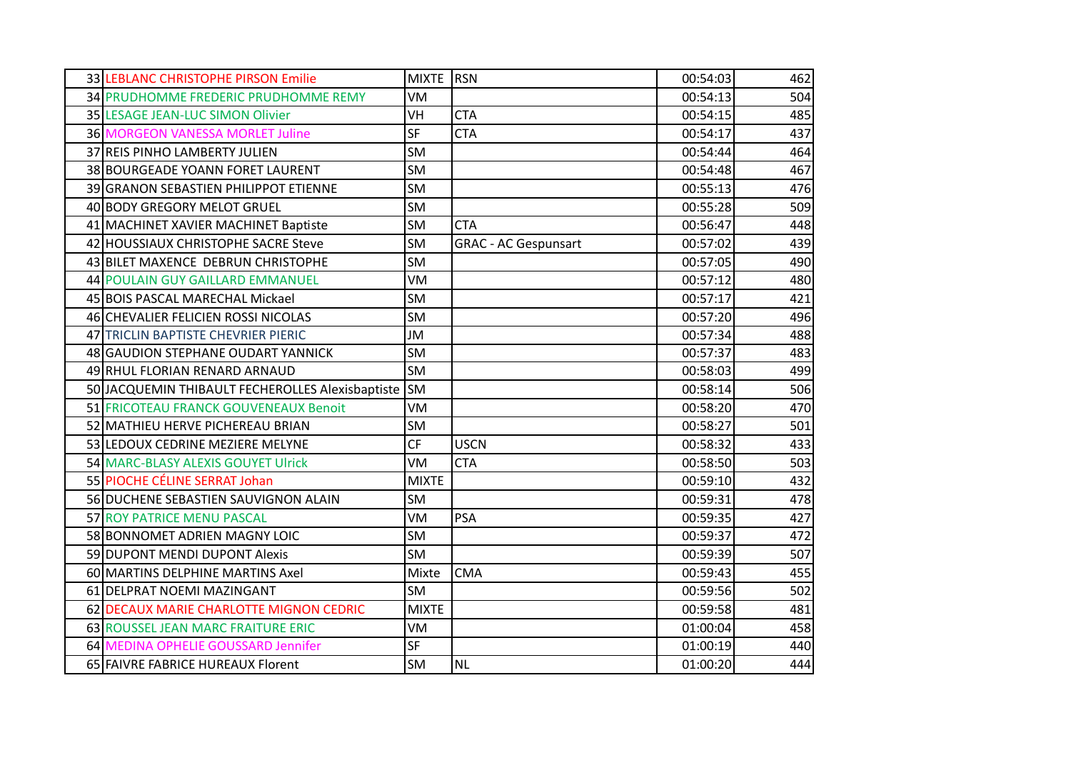| 33 LEBLANC CHRISTOPHE PIRSON Emilie              | <b>MIXTE</b> | <b>RSN</b>                  | 00:54:03 | 462 |
|--------------------------------------------------|--------------|-----------------------------|----------|-----|
| 34 PRUDHOMME FREDERIC PRUDHOMME REMY             | VM           |                             | 00:54:13 | 504 |
| 35 LESAGE JEAN-LUC SIMON Olivier                 | <b>VH</b>    | <b>CTA</b>                  | 00:54:15 | 485 |
| <b>36 MORGEON VANESSA MORLET Juline</b>          | <b>SF</b>    | <b>CTA</b>                  | 00:54:17 | 437 |
| 37 REIS PINHO LAMBERTY JULIEN                    | <b>SM</b>    |                             | 00:54:44 | 464 |
| 38 BOURGEADE YOANN FORET LAURENT                 | <b>SM</b>    |                             | 00:54:48 | 467 |
| 39 GRANON SEBASTIEN PHILIPPOT ETIENNE            | <b>SM</b>    |                             | 00:55:13 | 476 |
| 40 BODY GREGORY MELOT GRUEL                      | <b>SM</b>    |                             | 00:55:28 | 509 |
| 41 MACHINET XAVIER MACHINET Baptiste             | <b>SM</b>    | <b>CTA</b>                  | 00:56:47 | 448 |
| 42 HOUSSIAUX CHRISTOPHE SACRE Steve              | <b>SM</b>    | <b>GRAC - AC Gespunsart</b> | 00:57:02 | 439 |
| 43 BILET MAXENCE DEBRUN CHRISTOPHE               | <b>SM</b>    |                             | 00:57:05 | 490 |
| 44 POULAIN GUY GAILLARD EMMANUEL                 | VM           |                             | 00:57:12 | 480 |
| 45 BOIS PASCAL MARECHAL Mickael                  | <b>SM</b>    |                             | 00:57:17 | 421 |
| 46 CHEVALIER FELICIEN ROSSI NICOLAS              | <b>SM</b>    |                             | 00:57:20 | 496 |
| 47 TRICLIN BAPTISTE CHEVRIER PIERIC              | JM           |                             | 00:57:34 | 488 |
| 48 GAUDION STEPHANE OUDART YANNICK               | <b>SM</b>    |                             | 00:57:37 | 483 |
| 49 RHUL FLORIAN RENARD ARNAUD                    | <b>SM</b>    |                             | 00:58:03 | 499 |
| 50 JACQUEMIN THIBAULT FECHEROLLES Alexisbaptiste | <b>SM</b>    |                             | 00:58:14 | 506 |
| 51 FRICOTEAU FRANCK GOUVENEAUX Benoit            | VM           |                             | 00:58:20 | 470 |
| 52 MATHIEU HERVE PICHEREAU BRIAN                 | <b>SM</b>    |                             | 00:58:27 | 501 |
| 53 LEDOUX CEDRINE MEZIERE MELYNE                 | <b>CF</b>    | <b>USCN</b>                 | 00:58:32 | 433 |
| 54 MARC-BLASY ALEXIS GOUYET Ulrick               | VM           | <b>CTA</b>                  | 00:58:50 | 503 |
| 55 PIOCHE CÉLINE SERRAT Johan                    | <b>MIXTE</b> |                             | 00:59:10 | 432 |
| 56 DUCHENE SEBASTIEN SAUVIGNON ALAIN             | <b>SM</b>    |                             | 00:59:31 | 478 |
| 57 ROY PATRICE MENU PASCAL                       | VM           | <b>PSA</b>                  | 00:59:35 | 427 |
| 58 BONNOMET ADRIEN MAGNY LOIC                    | <b>SM</b>    |                             | 00:59:37 | 472 |
| 59 DUPONT MENDI DUPONT Alexis                    | <b>SM</b>    |                             | 00:59:39 | 507 |
| 60 MARTINS DELPHINE MARTINS Axel                 | Mixte        | <b>CMA</b>                  | 00:59:43 | 455 |
| 61 DELPRAT NOEMI MAZINGANT                       | <b>SM</b>    |                             | 00:59:56 | 502 |
| 62 DECAUX MARIE CHARLOTTE MIGNON CEDRIC          | <b>MIXTE</b> |                             | 00:59:58 | 481 |
| 63 ROUSSEL JEAN MARC FRAITURE ERIC               | VM           |                             | 01:00:04 | 458 |
| 64 MEDINA OPHELIE GOUSSARD Jennifer              | <b>SF</b>    |                             | 01:00:19 | 440 |
| 65 FAIVRE FABRICE HUREAUX Florent                | SM           | <b>NL</b>                   | 01:00:20 | 444 |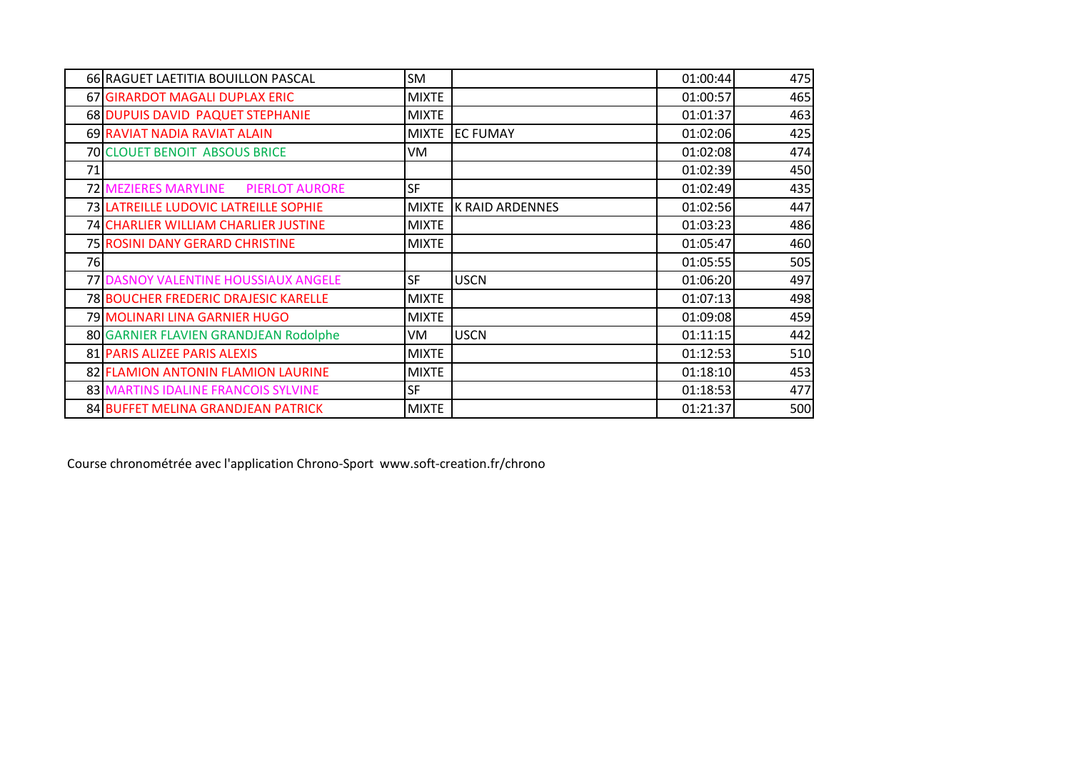|     | 66 RAGUET LAETITIA BOUILLON PASCAL                   | SM           |                        | 01:00:44 | 475 |
|-----|------------------------------------------------------|--------------|------------------------|----------|-----|
|     | 67 GIRARDOT MAGALI DUPLAX ERIC                       | <b>MIXTE</b> |                        | 01:00:57 | 465 |
|     | 68 DUPUIS DAVID PAQUET STEPHANIE                     | <b>MIXTE</b> |                        | 01:01:37 | 463 |
|     | 69 RAVIAT NADIA RAVIAT ALAIN                         | <b>MIXTE</b> | <b>EC FUMAY</b>        | 01:02:06 | 425 |
|     | <b>70 CLOUET BENOIT ABSOUS BRICE</b>                 | VM           |                        | 01:02:08 | 474 |
| 71  |                                                      |              |                        | 01:02:39 | 450 |
|     | <b>72 MEZIERES MARYLINE</b><br><b>PIERLOT AURORE</b> | <b>SF</b>    |                        | 01:02:49 | 435 |
|     | 73 LATREILLE LUDOVIC LATREILLE SOPHIE                | <b>MIXTE</b> | <b>K RAID ARDENNES</b> | 01:02:56 | 447 |
|     | 74 CHARLIER WILLIAM CHARLIER JUSTINE                 | <b>MIXTE</b> |                        | 01:03:23 | 486 |
|     | 75 ROSINI DANY GERARD CHRISTINE                      | <b>MIXTE</b> |                        | 01:05:47 | 460 |
| 76I |                                                      |              |                        | 01:05:55 | 505 |
|     | 77 DASNOY VALENTINE HOUSSIAUX ANGELE                 | <b>SF</b>    | <b>USCN</b>            | 01:06:20 | 497 |
|     | <b>78 BOUCHER FREDERIC DRAJESIC KARELLE</b>          | <b>MIXTE</b> |                        | 01:07:13 | 498 |
|     | 79 MOLINARI LINA GARNIER HUGO                        | <b>MIXTE</b> |                        | 01:09:08 | 459 |
|     | 80 GARNIER FLAVIEN GRANDJEAN Rodolphe                | VM           | <b>USCN</b>            | 01:11:15 | 442 |
|     | 81 PARIS ALIZEE PARIS ALEXIS                         | <b>MIXTE</b> |                        | 01:12:53 | 510 |
|     | 82 FLAMION ANTONIN FLAMION LAURINE                   | <b>MIXTE</b> |                        | 01:18:10 | 453 |
|     | 83 MARTINS IDALINE FRANCOIS SYLVINE                  | <b>SF</b>    |                        | 01:18:53 | 477 |
|     | 84 BUFFET MELINA GRANDJEAN PATRICK                   | <b>MIXTE</b> |                        | 01:21:37 | 500 |

Course chronométrée avec l'application Chrono-Sport www.soft-creation.fr/chrono